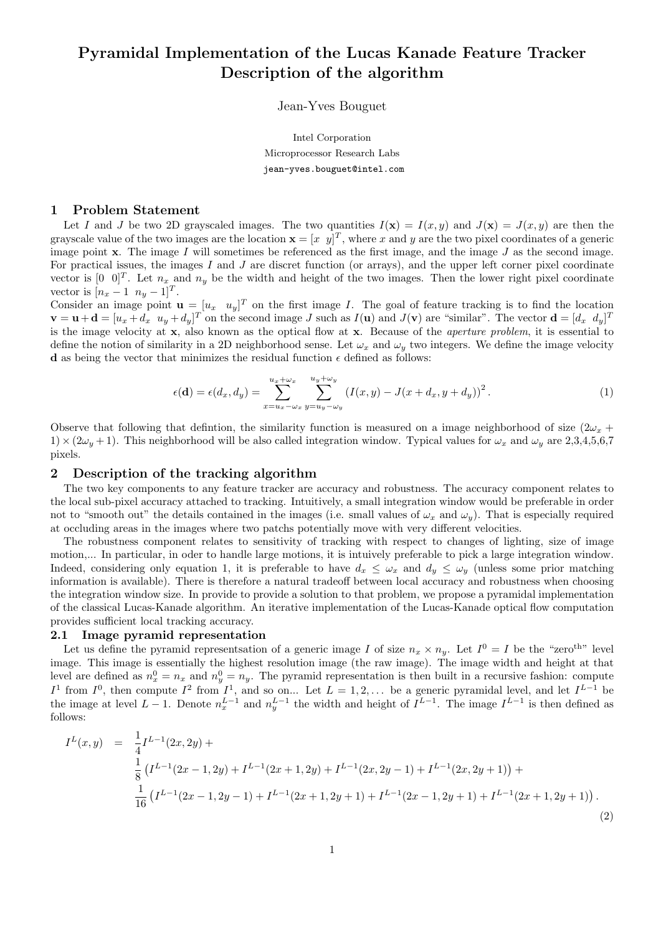# Pyramidal Implementation of the Lucas Kanade Feature Tracker Description of the algorithm

Jean-Yves Bouguet

Intel Corporation Microprocessor Research Labs jean-yves.bouguet@intel.com

## 1 Problem Statement

Let I and J be two 2D grayscaled images. The two quantities  $I(\mathbf{x}) = I(x, y)$  and  $J(\mathbf{x}) = J(x, y)$  are then the grayscale value of the two images are the location  $\mathbf{x} = [x \ y]^T$ , where x and y are the two pixel coordinates of a generic image point  $\bf{x}$ . The image I will sometimes be referenced as the first image, and the image J as the second image. For practical issues, the images I and J are discret function (or arrays), and the upper left corner pixel coordinate vector is  $[0 \ 0]^T$ . Let  $n_x$  and  $n_y$  be the width and height of the two images. Then the lower right pixel coordinate vector is  $[n_x - 1 \ n_y - 1]^T$ .

Consider an image point  $\mathbf{u} = [u_x \quad u_y]^T$  on the first image I. The goal of feature tracking is to find the location  $\mathbf{v} = \mathbf{u} + \mathbf{d} = [u_x + d_x \ u_y + d_y]^T$  on the second image J such as  $I(\mathbf{u})$  and  $J(\mathbf{v})$  are "similar". The vector  $\mathbf{d} = [d_x \ d_y]^T$ is the image velocity at x, also known as the optical flow at x. Because of the aperture problem, it is essential to define the notion of similarity in a 2D neighborhood sense. Let  $\omega_x$  and  $\omega_y$  two integers. We define the image velocity **d** as being the vector that minimizes the residual function  $\epsilon$  defined as follows:

$$
\epsilon(\mathbf{d}) = \epsilon(d_x, d_y) = \sum_{x=u_x - \omega_x}^{u_x + \omega_x} \sum_{y=u_y - \omega_y}^{u_y + \omega_y} (I(x, y) - J(x + d_x, y + d_y))^2.
$$
 (1)

Observe that following that defintion, the similarity function is measured on a image neighborhood of size  $(2\omega_x +$  $1) \times (2\omega_{y} + 1)$ . This neighborhood will be also called integration window. Typical values for  $\omega_{x}$  and  $\omega_{y}$  are 2,3,4,5,6,7 pixels.

# 2 Description of the tracking algorithm

The two key components to any feature tracker are accuracy and robustness. The accuracy component relates to the local sub-pixel accuracy attached to tracking. Intuitively, a small integration window would be preferable in order not to "smooth out" the details contained in the images (i.e. small values of  $\omega_x$  and  $\omega_y$ ). That is especially required at occluding areas in the images where two patchs potentially move with very different velocities.

The robustness component relates to sensitivity of tracking with respect to changes of lighting, size of image motion,... In particular, in oder to handle large motions, it is intuively preferable to pick a large integration window. Indeed, considering only equation 1, it is preferable to have  $d_x \leq \omega_x$  and  $d_y \leq \omega_y$  (unless some prior matching information is available). There is therefore a natural tradeoff between local accuracy and robustness when choosing the integration window size. In provide to provide a solution to that problem, we propose a pyramidal implementation of the classical Lucas-Kanade algorithm. An iterative implementation of the Lucas-Kanade optical flow computation provides sufficient local tracking accuracy.

#### 2.1 Image pyramid representation

Let us define the pyramid representsation of a generic image I of size  $n_x \times n_y$ . Let  $I^0 = I$  be the "zero<sup>th</sup>" level image. This image is essentially the highest resolution image (the raw image). The image width and height at that level are defined as  $n_x^0 = n_x$  and  $n_y^0 = n_y$ . The pyramid representation is then built in a recursive fashion: compute  $I^1$  from  $I^0$ , then compute  $I^2$  from  $I^1$ , and so on... Let  $L = 1, 2, \ldots$  be a generic pyramidal level, and let  $I^{L-1}$  be the image at level  $L-1$ . Denote  $n_x^{L-1}$  and  $n_y^{L-1}$  the width and height of  $I^{L-1}$ . The image  $I^{L-1}$  is then defined as follows:

$$
I^{L}(x,y) = \frac{1}{4}I^{L-1}(2x,2y) +
$$
  
\n
$$
\frac{1}{8}(I^{L-1}(2x-1,2y)+I^{L-1}(2x+1,2y)+I^{L-1}(2x,2y-1)+I^{L-1}(2x,2y+1))+
$$
  
\n
$$
\frac{1}{16}(I^{L-1}(2x-1,2y-1)+I^{L-1}(2x+1,2y+1)+I^{L-1}(2x-1,2y+1)+I^{L-1}(2x+1,2y+1)).
$$
\n(2)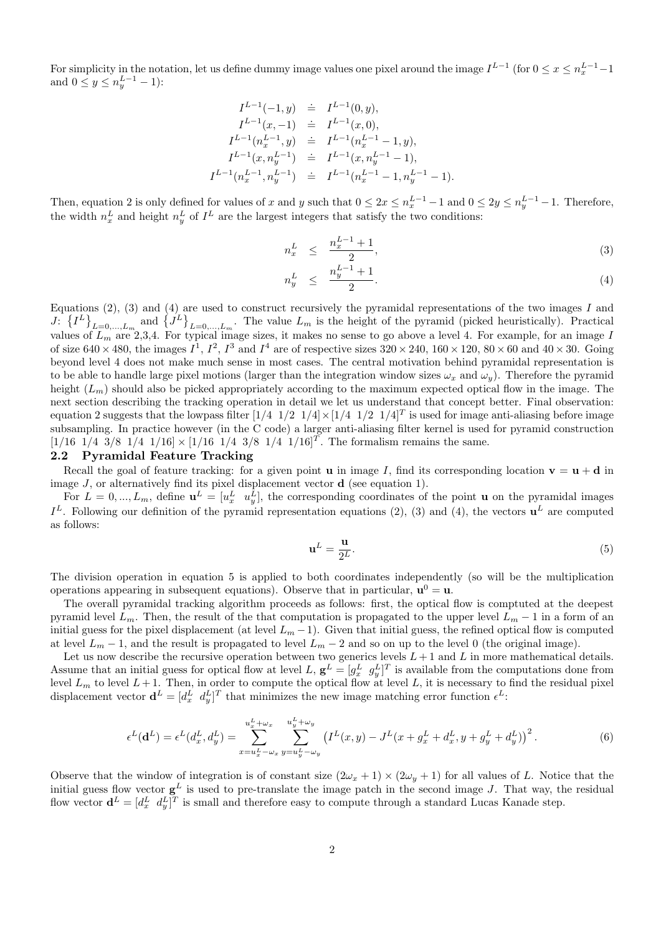For simplicity in the notation, let us define dummy image values one pixel around the image  $I^{L-1}$  (for  $0 \le x \le n_x^{L-1}-1$ ) and  $0 \le y \le n_y^{L-1} - 1$ :

$$
\begin{array}{rcl} I^{L-1}(-1,y) & \doteq & I^{L-1}(0,y), \\ I^{L-1}(x,-1) & \doteq & I^{L-1}(x,0), \\ I^{L-1}(n_x^{L-1},y) & \doteq & I^{L-1}(n_x^{L-1}-1,y), \\ I^{L-1}(x,n_y^{L-1}) & \doteq & I^{L-1}(x,n_y^{L-1}-1), \\ I^{L-1}(n_x^{L-1},n_y^{L-1}) & \doteq & I^{L-1}(n_x^{L-1}-1,n_y^{L-1}-1). \end{array}
$$

Then, equation 2 is only defined for values of x and y such that  $0 \leq 2x \leq n_x^{L-1} - 1$  and  $0 \leq 2y \leq n_y^{L-1} - 1$ . Therefore, the width  $n_x^L$  and height  $n_y^L$  of  $I^L$  are the largest integers that satisfy the two conditions:

$$
n_x^L \le \frac{n_x^{L-1} + 1}{2}, \tag{3}
$$

$$
n_y^L \leq \frac{n_y^{L-1} + 1}{2}.\tag{4}
$$

Equations  $(2)$ ,  $(3)$  and  $(4)$  are used to construct recursively the pyramidal representations of the two images I and J:  $\{I^L\}_{L=0,\dots,L_m}$  and  $\{J^L\}_{L=0,\dots,L_m}$ . The value  $L_m$  is the height of the pyramid (picked heuristically). Practical values of  $L_m$  are 2,3,4. For typical image sizes, it makes no sense to go above a level 4. For example, for an image  $I$ of size  $640 \times 480$ , the images  $I^1$ ,  $I^2$ ,  $I^3$  and  $I^4$  are of respective sizes  $320 \times 240$ ,  $160 \times 120$ ,  $80 \times 60$  and  $40 \times 30$ . Going beyond level 4 does not make much sense in most cases. The central motivation behind pyramidal representation is to be able to handle large pixel motions (larger than the integration window sizes  $\omega_x$  and  $\omega_y$ ). Therefore the pyramid height  $(L_m)$  should also be picked appropriately according to the maximum expected optical flow in the image. The next section describing the tracking operation in detail we let us understand that concept better. Final observation: equation 2 suggests that the lowpass filter  $[1/4 \ 1/2 \ 1/4] \times [1/4 \ 1/2 \ 1/4]^T$  is used for image anti-aliasing before image subsampling. In practice however (in the C code) a larger anti-aliasing filter kernel is used for pyramid construction  $[1/16 \ 1/4 \ 3/8 \ 1/4 \ 1/16] \times [1/16 \ 1/4 \ 3/8 \ 1/4 \ 1/16]^T$ . The formalism remains the same.

#### 2.2 Pyramidal Feature Tracking

Recall the goal of feature tracking: for a given point **u** in image I, find its corresponding location  $\mathbf{v} = \mathbf{u} + \mathbf{d}$  in image  $J$ , or alternatively find its pixel displacement vector  $\bf d$  (see equation 1).

For  $L = 0, ..., L_m$ , define  $\mathbf{u}^L = [u_x^L \ u_y^L]$ , the corresponding coordinates of the point **u** on the pyramidal images  $I<sup>L</sup>$ . Following our definition of the pyramid representation equations (2), (3) and (4), the vectors  $\mathbf{u}^{L}$  are computed as follows:

$$
\mathbf{u}^L = \frac{\mathbf{u}}{2^L}.\tag{5}
$$

The division operation in equation 5 is applied to both coordinates independently (so will be the multiplication operations appearing in subsequent equations). Observe that in particular,  $\mathbf{u}^0 = \mathbf{u}$ .

The overall pyramidal tracking algorithm proceeds as follows: first, the optical flow is comptuted at the deepest pyramid level  $L_m$ . Then, the result of the that computation is propagated to the upper level  $L_m - 1$  in a form of an initial guess for the pixel displacement (at level  $L_m - 1$ ). Given that initial guess, the refined optical flow is computed at level  $L_m - 1$ , and the result is propagated to level  $L_m - 2$  and so on up to the level 0 (the original image).

Let us now describe the recursive operation between two generics levels  $L + 1$  and L in more mathematical details. Assume that an initial guess for optical flow at level L,  $\mathbf{g}^L = [g_x^L \ g_y^L]^T$  is available from the computations done from level  $L_m$  to level  $L+1$ . Then, in order to compute the optical flow at level L, it is necessary to find the residual pixel displacement vector  $\mathbf{d}^L = [d_x^L \, d_y^L]^T$  that minimizes the new image matching error function  $\epsilon^L$ :

$$
\epsilon^{L}(\mathbf{d}^{L}) = \epsilon^{L}(d_{x}^{L}, d_{y}^{L}) = \sum_{x=u_{x}^{L} - \omega_{x}}^{u_{x}^{L} + \omega_{x}} \sum_{y=u_{y}^{L} - \omega_{y}}^{u_{y}^{L} + \omega_{y}} \left(I^{L}(x, y) - J^{L}(x + g_{x}^{L} + d_{x}^{L}, y + g_{y}^{L} + d_{y}^{L})\right)^{2}.
$$
\n(6)

Observe that the window of integration is of constant size  $(2\omega_x + 1) \times (2\omega_y + 1)$  for all values of L. Notice that the initial guess flow vector  $g^L$  is used to pre-translate the image patch in the second image J. That way, the residual flow vector  $\mathbf{d}^L = [d_x^L \, d_y^L]^T$  is small and therefore easy to compute through a standard Lucas Kanade step.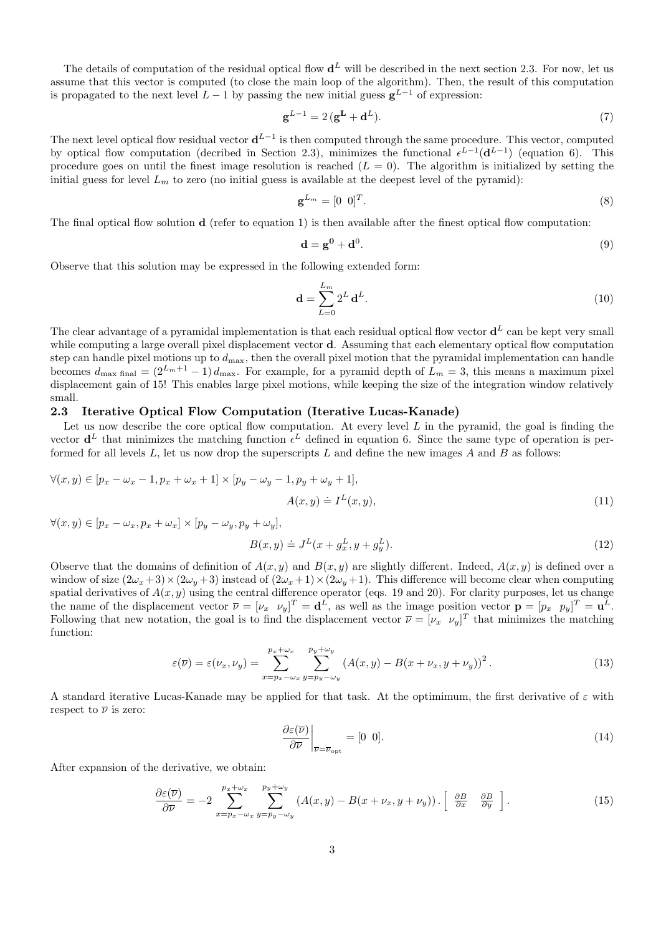The details of computation of the residual optical flow  $\mathbf{d}^L$  will be described in the next section 2.3. For now, let us assume that this vector is computed (to close the main loop of the algorithm). Then, the result of this computation is propagated to the next level  $L-1$  by passing the new initial guess  $g^{L-1}$  of expression:

$$
\mathbf{g}^{L-1} = 2(\mathbf{g}^{\mathbf{L}} + \mathbf{d}^{L}).\tag{7}
$$

The next level optical flow residual vector  $\mathbf{d}^{L-1}$  is then computed through the same procedure. This vector, computed by optical flow computation (decribed in Section 2.3), minimizes the functional  $\epsilon^{L-1}(\mathbf{d}^{L-1})$  (equation 6). This procedure goes on until the finest image resolution is reached  $(L = 0)$ . The algorithm is initialized by setting the initial guess for level  $L_m$  to zero (no initial guess is available at the deepest level of the pyramid):

$$
\mathbf{g}^{L_m} = \begin{bmatrix} 0 & 0 \end{bmatrix}^T. \tag{8}
$$

The final optical flow solution  $\bf d$  (refer to equation 1) is then available after the finest optical flow computation:

$$
\mathbf{d} = \mathbf{g}^0 + \mathbf{d}^0. \tag{9}
$$

Observe that this solution may be expressed in the following extended form:

$$
\mathbf{d} = \sum_{L=0}^{L_m} 2^L \mathbf{d}^L.
$$
 (10)

The clear advantage of a pyramidal implementation is that each residual optical flow vector  $\mathbf{d}^L$  can be kept very small while computing a large overall pixel displacement vector **d**. Assuming that each elementary optical flow computation step can handle pixel motions up to  $d_{\text{max}}$ , then the overall pixel motion that the pyramidal implementation can handle becomes  $d_{\text{max final}} = (2^{L_m+1} - 1) d_{\text{max}}$ . For example, for a pyramid depth of  $L_m = 3$ , this means a maximum pixel displacement gain of 15! This enables large pixel motions, while keeping the size of the integration window relatively small.

# 2.3 Iterative Optical Flow Computation (Iterative Lucas-Kanade)

Let us now describe the core optical flow computation. At every level  $L$  in the pyramid, the goal is finding the vector  $\mathbf{d}^L$  that minimizes the matching function  $\epsilon^L$  defined in equation 6. Since the same type of operation is performed for all levels  $L$ , let us now drop the superscripts  $L$  and define the new images  $A$  and  $B$  as follows:

$$
\forall (x, y) \in [p_x - \omega_x - 1, p_x + \omega_x + 1] \times [p_y - \omega_y - 1, p_y + \omega_y + 1],
$$
  

$$
A(x, y) \doteq I^L(x, y),
$$
\n(11)

 $\forall (x, y) \in [p_x - \omega_x, p_x + \omega_x] \times [p_y - \omega_y, p_y + \omega_y],$ 

$$
B(x, y) \doteq J^{L}(x + g_{x}^{L}, y + g_{y}^{L}).
$$
\n(12)

Observe that the domains of definition of  $A(x, y)$  and  $B(x, y)$  are slightly different. Indeed,  $A(x, y)$  is defined over a window of size  $(2\omega_x + 3) \times (2\omega_y + 3)$  instead of  $(2\omega_x + 1) \times (2\omega_y + 1)$ . This difference will become clear when computing spatial derivatives of  $A(x, y)$  using the central difference operator (eqs. 19 and 20). For clarity purposes, let us change the name of the displacement vector  $\overline{\nu} = [\nu_x \quad \nu_y]^T = \mathbf{d}^L$ , as well as the image position vector  $\mathbf{p} = [p_x \quad p_y]^T = \mathbf{u}^L$ . Following that new notation, the goal is to find the displacement vector  $\overline{\nu} = [\nu_x \ \nu_y]^T$  that minimizes the matching function:

$$
\varepsilon(\overline{\nu}) = \varepsilon(\nu_x, \nu_y) = \sum_{x=p_x - \omega_x}^{p_x + \omega_x} \sum_{y=p_y - \omega_y}^{p_y + \omega_y} \left( A(x, y) - B(x + \nu_x, y + \nu_y) \right)^2.
$$
\n(13)

A standard iterative Lucas-Kanade may be applied for that task. At the optimimum, the first derivative of  $\varepsilon$  with respect to  $\overline{\nu}$  is zero:

$$
\left. \frac{\partial \varepsilon(\overline{\nu})}{\partial \overline{\nu}} \right|_{\overline{\nu} = \overline{\nu}_{\text{opt}}} = [0 \ 0]. \tag{14}
$$

After expansion of the derivative, we obtain:

$$
\frac{\partial \varepsilon(\overline{\nu})}{\partial \overline{\nu}} = -2 \sum_{x=p_x - \omega_x}^{p_x + \omega_x} \sum_{y=p_y - \omega_y}^{p_y + \omega_y} (A(x, y) - B(x + \nu_x, y + \nu_y)) \cdot \left[ \frac{\partial B}{\partial x} \frac{\partial B}{\partial y} \right]. \tag{15}
$$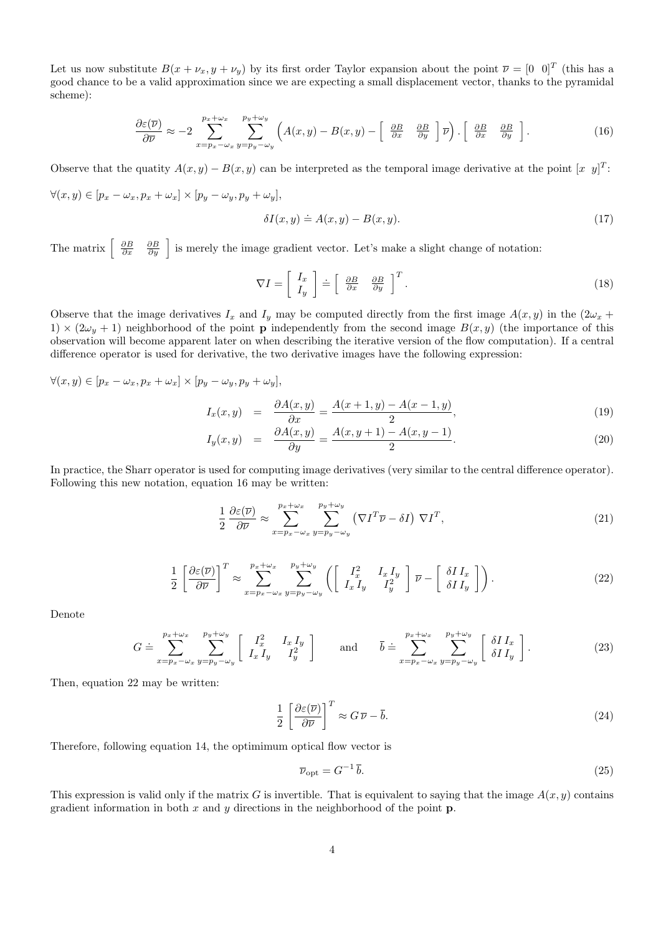Let us now substitute  $B(x + \nu_x, y + \nu_y)$  by its first order Taylor expansion about the point  $\overline{\nu} = \begin{bmatrix} 0 & 0 \end{bmatrix}^T$  (this has a good chance to be a valid approximation since we are expecting a small displacement vector, thanks to the pyramidal scheme):

$$
\frac{\partial \varepsilon(\overline{\nu})}{\partial \overline{\nu}} \approx -2 \sum_{x=p_x - \omega_x}^{p_x + \omega_x} \sum_{y=p_y - \omega_y}^{p_y + \omega_y} \left( A(x, y) - B(x, y) - \begin{bmatrix} \frac{\partial B}{\partial x} & \frac{\partial B}{\partial y} \end{bmatrix} \overline{\nu} \right) \cdot \begin{bmatrix} \frac{\partial B}{\partial x} & \frac{\partial B}{\partial y} \end{bmatrix}.
$$
 (16)

Observe that the quatity  $A(x, y) - B(x, y)$  can be interpreted as the temporal image derivative at the point  $[x \ y]^T$ :

$$
\forall (x,y) \in [p_x - \omega_x, p_x + \omega_x] \times [p_y - \omega_y, p_y + \omega_y],
$$

$$
\delta I(x, y) \doteq A(x, y) - B(x, y). \tag{17}
$$

The matrix  $\begin{bmatrix} \frac{\partial B}{\partial x} & \frac{\partial B}{\partial y} \end{bmatrix}$  is merely the image gradient vector. Let's make a slight change of notation:

$$
\nabla I = \left[ \begin{array}{c} I_x \\ I_y \end{array} \right] \doteq \left[ \begin{array}{cc} \frac{\partial B}{\partial x} & \frac{\partial B}{\partial y} \end{array} \right]^T. \tag{18}
$$

Observe that the image derivatives  $I_x$  and  $I_y$  may be computed directly from the first image  $A(x, y)$  in the  $(2\omega_x +$ 1)  $\times$  (2 $\omega_y$  + 1) neighborhood of the point **p** independently from the second image  $B(x, y)$  (the importance of this observation will become apparent later on when describing the iterative version of the flow computation). If a central difference operator is used for derivative, the two derivative images have the following expression:

$$
\forall (x,y) \in [p_x - \omega_x, p_x + \omega_x] \times [p_y - \omega_y, p_y + \omega_y],
$$

$$
I_x(x,y) = \frac{\partial A(x,y)}{\partial x} = \frac{A(x+1,y) - A(x-1,y)}{2},\tag{19}
$$

$$
I_y(x,y) = \frac{\partial A(x,y)}{\partial y} = \frac{A(x,y+1) - A(x,y-1)}{2}.
$$
\n
$$
(20)
$$

In practice, the Sharr operator is used for computing image derivatives (very similar to the central difference operator). Following this new notation, equation 16 may be written:

$$
\frac{1}{2} \frac{\partial \varepsilon(\overline{\nu})}{\partial \overline{\nu}} \approx \sum_{x=p_x - \omega_x}^{p_x + \omega_x} \sum_{y=p_y - \omega_y}^{p_y + \omega_y} (\nabla I^T \overline{\nu} - \delta I) \nabla I^T,
$$
\n(21)

$$
\frac{1}{2} \left[ \frac{\partial \varepsilon(\overline{\nu})}{\partial \overline{\nu}} \right]^T \approx \sum_{x=p_x - \omega_x}^{p_x + \omega_x} \sum_{y=p_y - \omega_y}^{p_y + \omega_y} \left( \left[ \begin{array}{cc} I_x^2 & I_x I_y \\ I_x I_y & I_y^2 \end{array} \right] \overline{\nu} - \left[ \begin{array}{c} \delta I I_x \\ \delta I I_y \end{array} \right] \right). \tag{22}
$$

Denote

$$
G \doteq \sum_{x=p_x-\omega_x}^{p_x+\omega_x} \sum_{y=p_y-\omega_y}^{p_y+\omega_y} \left[ \begin{array}{cc} I_x^2 & I_x I_y \\ I_x I_y & I_y^2 \end{array} \right] \quad \text{and} \quad \bar{b} \doteq \sum_{x=p_x-\omega_x}^{p_x+\omega_x} \sum_{y=p_y-\omega_y}^{p_y+\omega_y} \left[ \begin{array}{c} \delta I I_x \\ \delta I I_y \end{array} \right]. \tag{23}
$$

Then, equation 22 may be written:

$$
\frac{1}{2} \left[ \frac{\partial \varepsilon(\overline{\nu})}{\partial \overline{\nu}} \right]^T \approx G \, \overline{\nu} - \overline{b}.\tag{24}
$$

Therefore, following equation 14, the optimimum optical flow vector is

$$
\overline{\nu}_{\rm opt} = G^{-1} \overline{b}.\tag{25}
$$

This expression is valid only if the matrix G is invertible. That is equivalent to saying that the image  $A(x, y)$  contains gradient information in both  $x$  and  $y$  directions in the neighborhood of the point  $\bf{p}$ .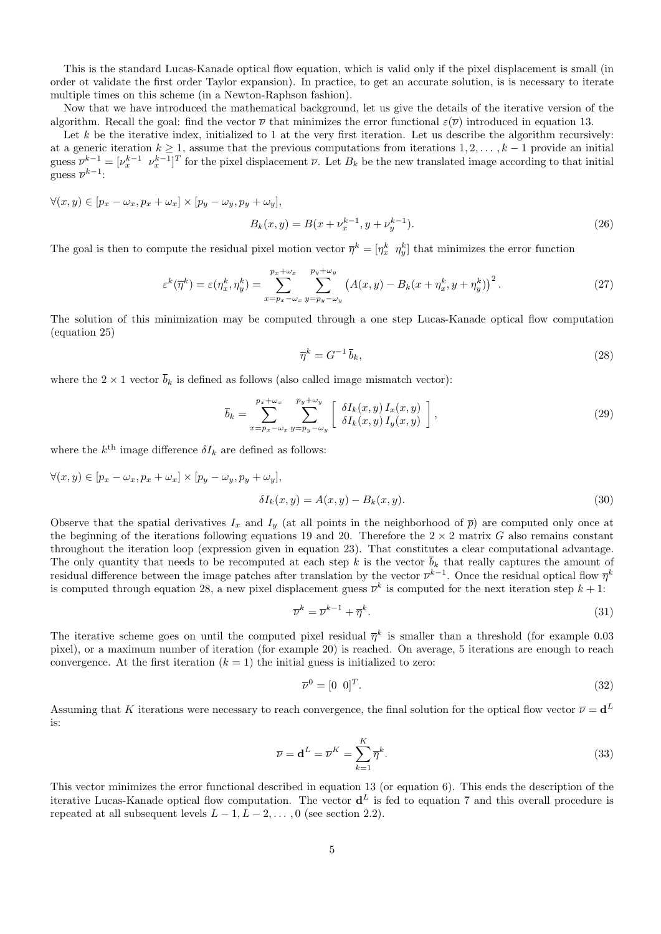This is the standard Lucas-Kanade optical flow equation, which is valid only if the pixel displacement is small (in order ot validate the first order Taylor expansion). In practice, to get an accurate solution, is is necessary to iterate multiple times on this scheme (in a Newton-Raphson fashion).

Now that we have introduced the mathematical background, let us give the details of the iterative version of the algorithm. Recall the goal: find the vector  $\overline{\nu}$  that minimizes the error functional  $\varepsilon(\overline{\nu})$  introduced in equation 13.

Let  $k$  be the iterative index, initialized to 1 at the very first iteration. Let us describe the algorithm recursively: at a generic iteration  $k \geq 1$ , assume that the previous computations from iterations  $1, 2, \ldots, k-1$  provide an initial guess  $\overline{\nu}^{k-1} = [\nu_x^{k-1} \ \nu_x^{k-1}]^T$  for the pixel displacement  $\overline{\nu}$ . Let  $B_k$  be the new translated image according to that initial guess  $\overline{\nu}^{k-1}$ :

$$
\forall (x, y) \in [p_x - \omega_x, p_x + \omega_x] \times [p_y - \omega_y, p_y + \omega_y],
$$
  

$$
B_k(x, y) = B(x + \nu_x^{k-1}, y + \nu_y^{k-1}).
$$
 (26)

The goal is then to compute the residual pixel motion vector  $\bar{\eta}^k = [\eta_x^k \ \eta_y^k]$  that minimizes the error function

$$
\varepsilon^{k}(\overline{\eta}^{k}) = \varepsilon(\eta_{x}^{k}, \eta_{y}^{k}) = \sum_{x=p_{x}-\omega_{x}}^{p_{x}+\omega_{x}} \sum_{y=p_{y}-\omega_{y}}^{p_{y}+\omega_{y}} (A(x,y) - B_{k}(x+\eta_{x}^{k}, y+\eta_{y}^{k}))^{2}.
$$
\n(27)

The solution of this minimization may be computed through a one step Lucas-Kanade optical flow computation (equation 25)

$$
\overline{\eta}^k = G^{-1} \,\overline{b}_k,\tag{28}
$$

where the  $2 \times 1$  vector  $\overline{b}_k$  is defined as follows (also called image mismatch vector):

$$
\overline{b}_k = \sum_{x=p_x - \omega_x}^{p_x + \omega_x} \sum_{y=p_y - \omega_y}^{p_y + \omega_y} \left[ \begin{array}{c} \delta I_k(x, y) I_x(x, y) \\ \delta I_k(x, y) I_y(x, y) \end{array} \right],
$$
\n(29)

where the  $k^{\text{th}}$  image difference  $\delta I_k$  are defined as follows:

$$
\forall (x, y) \in [p_x - \omega_x, p_x + \omega_x] \times [p_y - \omega_y, p_y + \omega_y],
$$
  

$$
\delta I_k(x, y) = A(x, y) - B_k(x, y).
$$
 (30)

Observe that the spatial derivatives  $I_x$  and  $I_y$  (at all points in the neighborhood of  $\bar{p}$ ) are computed only once at the beginning of the iterations following equations 19 and 20. Therefore the  $2 \times 2$  matrix G also remains constant throughout the iteration loop (expression given in equation 23). That constitutes a clear computational advantage. The only quantity that needs to be recomputed at each step k is the vector  $\overline{b}_k$  that really captures the amount of residual difference between the image patches after translation by the vector  $\overline{\nu}^{k-1}$ . Once the residual optical flow  $\overline{\eta}^k$ is computed through equation 28, a new pixel displacement guess  $\bar{\nu}^k$  is computed for the next iteration step  $k+1$ :

$$
\overline{\nu}^k = \overline{\nu}^{k-1} + \overline{\eta}^k. \tag{31}
$$

The iterative scheme goes on until the computed pixel residual  $\bar{\eta}^k$  is smaller than a threshold (for example 0.03 pixel), or a maximum number of iteration (for example 20) is reached. On average, 5 iterations are enough to reach convergence. At the first iteration  $(k = 1)$  the initial guess is initialized to zero:

$$
\overline{\nu}^0 = [0 \ 0]^T. \tag{32}
$$

Assuming that K iterations were necessary to reach convergence, the final solution for the optical flow vector  $\bar{\nu} = d^L$ is:

$$
\overline{\nu} = \mathbf{d}^L = \overline{\nu}^K = \sum_{k=1}^K \overline{\eta}^k.
$$
\n(33)

This vector minimizes the error functional described in equation 13 (or equation 6). This ends the description of the iterative Lucas-Kanade optical flow computation. The vector  $\mathbf{d}^L$  is fed to equation 7 and this overall procedure is repeated at all subsequent levels  $L - 1, L - 2, \ldots, 0$  (see section 2.2).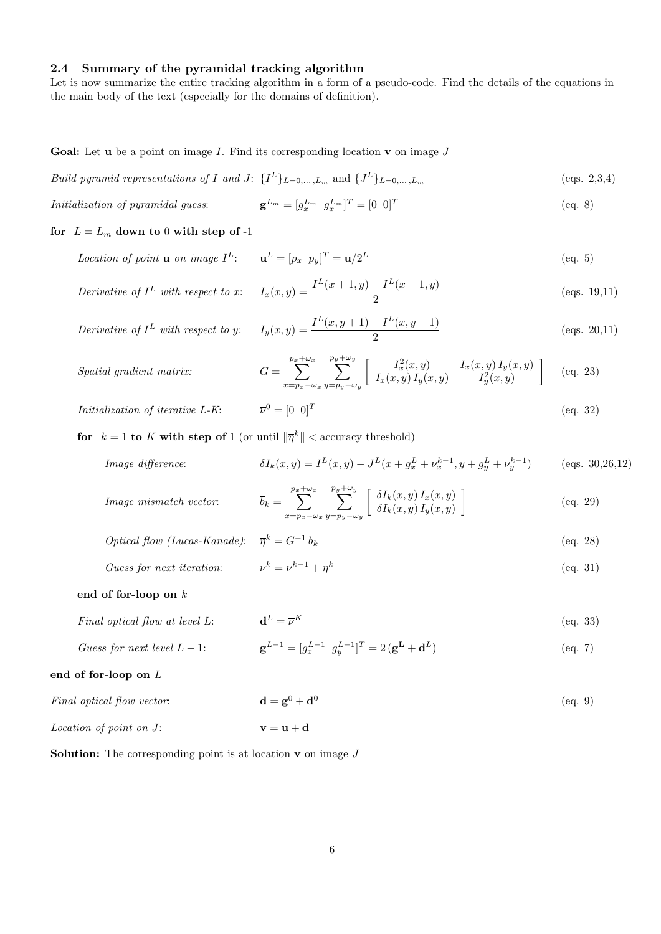# 2.4 Summary of the pyramidal tracking algorithm

Let is now summarize the entire tracking algorithm in a form of a pseudo-code. Find the details of the equations in the main body of the text (especially for the domains of definition).

**Goal:** Let **u** be a point on image I. Find its corresponding location **v** on image  $J$ 

Build pyramid representations of I and J:  $\{I^L\}_{L=0,\ldots,L_m}$  and  $\{J^L\}_{L=0,\ldots,L_m}$  (eqs. 2,3,4)

$$
Initialization of pyramidal guess: \qquad \qquad \mathbf{g}^{L_m} = [g_x^{L_m} \ \ g_x^{L_m}]^T = [0 \ \ 0]^T \tag{eq. 8}
$$

for  $L = L_m$  down to 0 with step of -1

 $Spatial\ gradient\ matrix:$ 

*Location of point* **u** *on image* 
$$
I^L
$$
:  $\mathbf{u}^L = [p_x \ p_y]^T = \mathbf{u}/2^L$  (eq. 5)

Derivative of 
$$
I^L
$$
 with respect to x:  $I_x(x,y) = \frac{I^L(x+1,y) - I^L(x-1,y)}{2}$  (eqs. 19,11)

Derivative of 
$$
I^L
$$
 with respect to y:  $I_y(x, y) = \frac{I^L(x, y+1) - I^L(x, y-1)}{2}$  (eqs. 20,11)

$$
G = \sum_{x=p_x - \omega_x}^{p_x + \omega_x} \sum_{y=p_y - \omega_y}^{p_y + \omega_y} \left[ \frac{I_x^2(x, y)}{I_x(x, y) I_y(x, y)} \frac{I_x(x, y) I_y(x, y)}{I_y^2(x, y)} \right] \quad \text{(eq. 23)}
$$

 $Initialization of iterative L-K:$  $\overline{\nu}^0 = [0 \ 0]^T$ (eq. 32)

for  $k = 1$  to K with step of 1 (or until  $\|\overline{\eta}^k\|$  < accuracy threshold)

Image difference: 
$$
\delta I_k(x,y) = I^L(x,y) - J^L(x + g_x^L + \nu_x^{k-1}, y + g_y^L + \nu_y^{k-1})
$$
 (eqs. 30,26,12)

Image mismatch vector: 
$$
\overline{b}_k = \sum_{x=p_x - \omega_x}^{p_x + \omega_x} \sum_{y=p_y - \omega_y}^{p_y + \omega_y} \left[ \begin{array}{c} \delta I_k(x, y) I_x(x, y) \\ \delta I_k(x, y) I_y(x, y) \end{array} \right] \tag{eq. 29}
$$

$$
Optical flow (Lucas-Kanade): \quad \overline{\eta}^k = G^{-1} \overline{b}_k \tag{eq. 28}
$$

*Guess for next iteration:* 
$$
\overline{\nu}^k = \overline{\nu}^{k-1} + \overline{\eta}^k
$$
 (eq. 31)

### end of for-loop on k

*Final optical flow at level L*: 
$$
\mathbf{d}^L = \overline{\nu}^K
$$
 (eq. 33)

$$
Guess for next level L - 1: \qquad \qquad \mathbf{g}^{L-1} = [g_x^{L-1} \ \ g_y^{L-1}]^T = 2\left(\mathbf{g}^{\mathbf{L}} + \mathbf{d}^L\right) \tag{eq. 7}
$$

# end of for-loop on L

| Final optical flow vector: | $\mathbf{d} = \mathbf{g}^0 + \mathbf{d}^0$ | (eq. 9) |
|----------------------------|--------------------------------------------|---------|
| Location of point on J:    | $v = u + d$                                |         |

**Solution:** The corresponding point is at location  $\bf{v}$  on image  $J$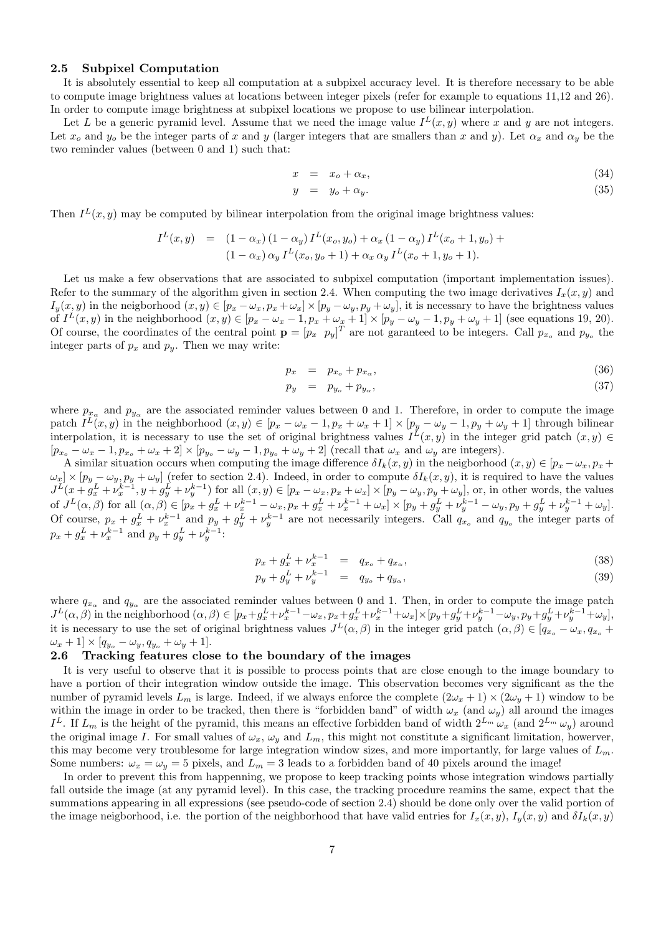#### 2.5 Subpixel Computation

It is absolutely essential to keep all computation at a subpixel accuracy level. It is therefore necessary to be able to compute image brightness values at locations between integer pixels (refer for example to equations 11,12 and 26). In order to compute image brightness at subpixel locations we propose to use bilinear interpolation.

Let L be a generic pyramid level. Assume that we need the image value  $I<sup>L</sup>(x, y)$  where x and y are not integers. Let  $x_o$  and  $y_o$  be the integer parts of x and y (larger integers that are smallers than x and y). Let  $\alpha_x$  and  $\alpha_y$  be the two reminder values (between 0 and 1) such that:

$$
x = x_o + \alpha_x,\tag{34}
$$

$$
y = y_o + \alpha_y. \tag{35}
$$

Then  $I<sup>L</sup>(x, y)$  may be computed by bilinear interpolation from the original image brightness values:

$$
I^{L}(x, y) = (1 - \alpha_{x})(1 - \alpha_{y})I^{L}(x_{o}, y_{o}) + \alpha_{x}(1 - \alpha_{y})I^{L}(x_{o} + 1, y_{o}) + (1 - \alpha_{x})\alpha_{y}I^{L}(x_{o}, y_{o} + 1) + \alpha_{x}\alpha_{y}I^{L}(x_{o} + 1, y_{o} + 1).
$$

Let us make a few observations that are associated to subpixel computation (important implementation issues). Refer to the summary of the algorithm given in section 2.4. When computing the two image derivatives  $I_x(x, y)$  and  $I_y(x, y)$  in the neigborhood  $(x, y) \in [p_x - \omega_x, p_x + \omega_x] \times [p_y - \omega_y, p_y + \omega_y]$ , it is necessary to have the brightness values of  $I^L(x, y)$  in the neighborhood  $(x, y) \in [p_x - \omega_x - 1, p_x + \omega_x + 1] \times [p_y - \omega_y - 1, p_y + \omega_y + 1]$  (see equations 19, 20). Of course, the coordinates of the central point  $\mathbf{p} = [p_x \ p_y]^T$  are not garanteed to be integers. Call  $p_{x_o}$  and  $p_{y_o}$  the integer parts of  $p_x$  and  $p_y$ . Then we may write:

$$
p_x = p_{x_o} + p_{x_\alpha}, \tag{36}
$$

$$
p_y = p_{y_o} + p_{y_\alpha},\tag{37}
$$

where  $p_{x_\alpha}$  and  $p_{y_\alpha}$  are the associated reminder values between 0 and 1. Therefore, in order to compute the image patch  $I^L(x, y)$  in the neighborhood  $(x, y) \in [p_x - \omega_x - 1, p_x + \omega_x + 1] \times [p_y - \omega_y - 1, p_y + \omega_y + 1]$  through bilinear interpolation, it is necessary to use the set of original brightness values  $I^L(x, y)$  in the integer grid patch  $(x, y) \in$  $[p_{x_o} - \omega_x - 1, p_{x_o} + \omega_x + 2] \times [p_{y_o} - \omega_y - 1, p_{y_o} + \omega_y + 2]$  (recall that  $\omega_x$  and  $\omega_y$  are integers).

A similar situation occurs when computing the image difference  $\delta I_k(x, y)$  in the neigborhood  $(x, y) \in [p_x - \omega_x, p_x + \omega_y]$  $\omega_x$  ×  $[p_y - \omega_y, p_y + \omega_y]$  (refer to section 2.4). Indeed, in order to compute  $\delta I_k(x, y)$ , it is required to have the values  $J^L(x+g_x^L+\nu_x^{k-1},y+g_y^L+\nu_y^{k-1})$  for all  $(x,y)\in[p_x-\omega_x,p_x+\omega_x]\times[p_y-\omega_y,p_y+\omega_y]$ , or, in other words, the values of  $J^L(\alpha, \beta)$  for all  $(\alpha, \beta) \in [p_x + g_x^L + \nu_x^{k-1} - \omega_x, p_x + g_x^L + \nu_x^{k-1} + \omega_x] \times [p_y + g_y^L + \nu_y^{k-1} - \omega_y, p_y + g_y^L + \nu_y^{k-1} + \omega_y]$ . Of course,  $p_x + g_x^L + v_x^{k-1}$  and  $p_y + g_y^L + v_y^{k-1}$  are not necessarily integers. Call  $q_{x_o}$  and  $q_{y_o}$  the integer parts of  $p_x + g_x^L + \nu_x^{k-1}$  and  $p_y + g_y^L + \nu_y^{k-1}$ :

$$
p_x + g_x^L + \nu_x^{k-1} = q_{x_o} + q_{x_\alpha}, \tag{38}
$$

$$
p_y + g_y^L + \nu_y^{k-1} = q_{y_o} + q_{y_\alpha}, \tag{39}
$$

where  $q_{x_\alpha}$  and  $q_{y_\alpha}$  are the associated reminder values between 0 and 1. Then, in order to compute the image patch  $J^L(\alpha, \beta)$  in the neighborhood  $(\alpha, \beta) \in [p_x + g_x^L + \nu_x^{k-1} - \omega_x, p_x + g_x^L + \nu_x^{k-1} + \omega_x] \times [p_y + g_y^L + \nu_y^{k-1} - \omega_y, p_y + g_y^L + \nu_y^{k-1} + \omega_y],$ it is necessary to use the set of original brightness values  $J^L(\alpha,\beta)$  in the integer grid patch  $(\alpha,\beta) \in [q_{x_0} - \omega_x, q_{x_0} + \omega_x, q_{x_0}]$  $\omega_x + 1] \times [q_{y_o} - \omega_y, q_{y_o} + \omega_y + 1].$ 

#### 2.6 Tracking features close to the boundary of the images

It is very useful to observe that it is possible to process points that are close enough to the image boundary to have a portion of their integration window outside the image. This observation becomes very significant as the the number of pyramid levels  $L_m$  is large. Indeed, if we always enforce the complete  $(2\omega_x + 1) \times (2\omega_y + 1)$  window to be within the image in order to be tracked, then there is "forbidden band" of width  $\omega_x$  (and  $\omega_y$ ) all around the images I<sup>L</sup>. If  $L_m$  is the height of the pyramid, this means an effective forbidden band of width  $2^{L_m} \omega_x$  (and  $2^{L_m} \omega_y$ ) around the original image I. For small values of  $\omega_x$ ,  $\omega_y$  and  $L_m$ , this might not constitute a significant limitation, howerver, this may become very troublesome for large integration window sizes, and more importantly, for large values of  $L_m$ . Some numbers:  $\omega_x = \omega_y = 5$  pixels, and  $L_m = 3$  leads to a forbidden band of 40 pixels around the image!

In order to prevent this from happenning, we propose to keep tracking points whose integration windows partially fall outside the image (at any pyramid level). In this case, the tracking procedure reamins the same, expect that the summations appearing in all expressions (see pseudo-code of section 2.4) should be done only over the valid portion of the image neigborhood, i.e. the portion of the neighborhood that have valid entries for  $I_x(x, y)$ ,  $I_y(x, y)$  and  $\delta I_k(x, y)$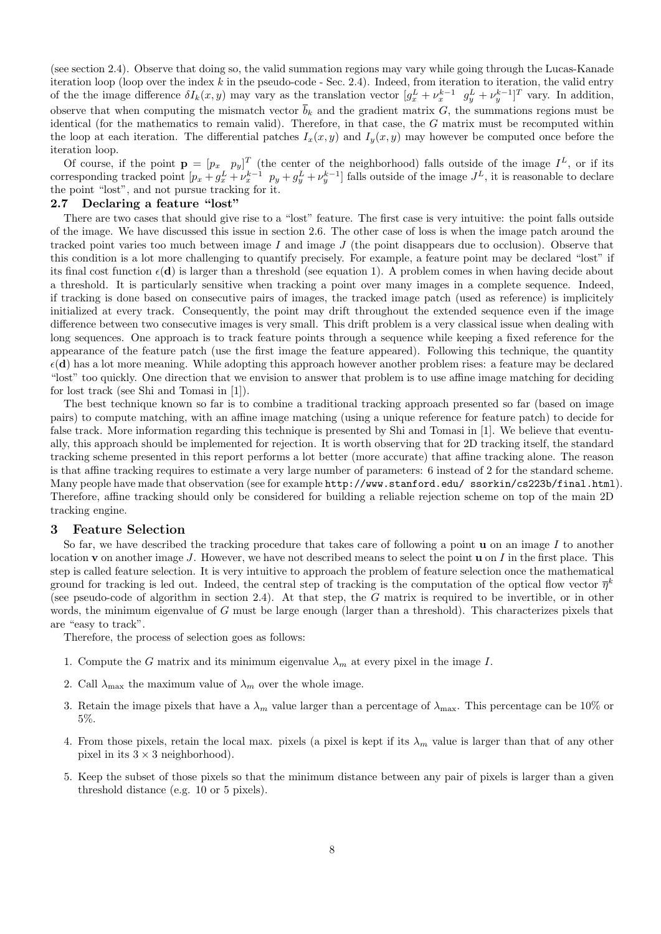(see section 2.4). Observe that doing so, the valid summation regions may vary while going through the Lucas-Kanade iteration loop (loop over the index  $k$  in the pseudo-code - Sec. 2.4). Indeed, from iteration to iteration, the valid entry of the the image difference  $\delta I_k(x, y)$  may vary as the translation vector  $[g_x^L + v_x^{k-1} \ g_y^L + v_y^{k-1}]^T$  vary. In addition, observe that when computing the mismatch vector  $\overline{b}_k$  and the gradient matrix G, the summations regions must be identical (for the mathematics to remain valid). Therefore, in that case, the G matrix must be recomputed within the loop at each iteration. The differential patches  $I_x(x, y)$  and  $I_y(x, y)$  may however be computed once before the iteration loop.

Of course, if the point  $\mathbf{p} = [p_x \quad p_y]^T$  (the center of the neighborhood) falls outside of the image  $I^L$ , or if its corresponding tracked point  $[p_x + g_x^L + v_x^{k-1} \ p_y + g_y^L + v_y^{k-1}]$  falls outside of the image  $J^L$ , it is reasonable to declare the point "lost", and not pursue tracking for it.

### 2.7 Declaring a feature "lost"

There are two cases that should give rise to a "lost" feature. The first case is very intuitive: the point falls outside of the image. We have discussed this issue in section 2.6. The other case of loss is when the image patch around the tracked point varies too much between image I and image  $J$  (the point disappears due to occlusion). Observe that this condition is a lot more challenging to quantify precisely. For example, a feature point may be declared "lost" if its final cost function  $\epsilon(\mathbf{d})$  is larger than a threshold (see equation 1). A problem comes in when having decide about a threshold. It is particularly sensitive when tracking a point over many images in a complete sequence. Indeed, if tracking is done based on consecutive pairs of images, the tracked image patch (used as reference) is implicitely initialized at every track. Consequently, the point may drift throughout the extended sequence even if the image difference between two consecutive images is very small. This drift problem is a very classical issue when dealing with long sequences. One approach is to track feature points through a sequence while keeping a fixed reference for the appearance of the feature patch (use the first image the feature appeared). Following this technique, the quantity  $\epsilon(\mathbf{d})$  has a lot more meaning. While adopting this approach however another problem rises: a feature may be declared "lost" too quickly. One direction that we envision to answer that problem is to use affine image matching for deciding for lost track (see Shi and Tomasi in [1]).

The best technique known so far is to combine a traditional tracking approach presented so far (based on image pairs) to compute matching, with an affine image matching (using a unique reference for feature patch) to decide for false track. More information regarding this technique is presented by Shi and Tomasi in [1]. We believe that eventually, this approach should be implemented for rejection. It is worth observing that for 2D tracking itself, the standard tracking scheme presented in this report performs a lot better (more accurate) that affine tracking alone. The reason is that affine tracking requires to estimate a very large number of parameters: 6 instead of 2 for the standard scheme. Many people have made that observation (see for example http://www.stanford.edu/ ssorkin/cs223b/final.html). Therefore, affine tracking should only be considered for building a reliable rejection scheme on top of the main 2D tracking engine.

# 3 Feature Selection

So far, we have described the tracking procedure that takes care of following a point  $\bf{u}$  on an image I to another location **v** on another image J. However, we have not described means to select the point **u** on I in the first place. This step is called feature selection. It is very intuitive to approach the problem of feature selection once the mathematical ground for tracking is led out. Indeed, the central step of tracking is the computation of the optical flow vector  $\overline{\eta}^k$ (see pseudo-code of algorithm in section 2.4). At that step, the G matrix is required to be invertible, or in other words, the minimum eigenvalue of  $G$  must be large enough (larger than a threshold). This characterizes pixels that are "easy to track".

Therefore, the process of selection goes as follows:

- 1. Compute the G matrix and its minimum eigenvalue  $\lambda_m$  at every pixel in the image I.
- 2. Call  $\lambda_{\text{max}}$  the maximum value of  $\lambda_m$  over the whole image.
- 3. Retain the image pixels that have a  $\lambda_m$  value larger than a percentage of  $\lambda_{\text{max}}$ . This percentage can be 10% or 5%.
- 4. From those pixels, retain the local max. pixels (a pixel is kept if its  $\lambda_m$  value is larger than that of any other pixel in its  $3 \times 3$  neighborhood).
- 5. Keep the subset of those pixels so that the minimum distance between any pair of pixels is larger than a given threshold distance (e.g. 10 or 5 pixels).